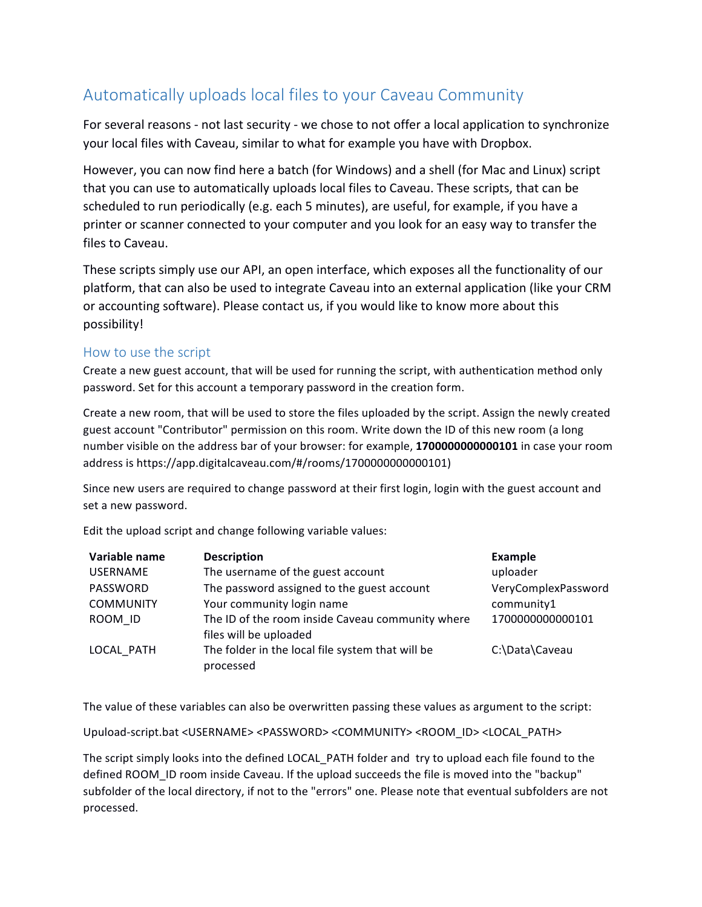## Automatically uploads local files to your Caveau Community

For several reasons - not last security - we chose to not offer a local application to synchronize your local files with Caveau, similar to what for example you have with Dropbox.

However, you can now find here a batch (for Windows) and a shell (for Mac and Linux) script that you can use to automatically uploads local files to Caveau. These scripts, that can be scheduled to run periodically (e.g. each 5 minutes), are useful, for example, if you have a printer or scanner connected to your computer and you look for an easy way to transfer the files to Caveau.

These scripts simply use our API, an open interface, which exposes all the functionality of our platform, that can also be used to integrate Caveau into an external application (like your CRM or accounting software). Please contact us, if you would like to know more about this possibility!

## How to use the script

Create a new guest account, that will be used for running the script, with authentication method only password. Set for this account a temporary password in the creation form.

Create a new room, that will be used to store the files uploaded by the script. Assign the newly created guest account "Contributor" permission on this room. Write down the ID of this new room (a long number visible on the address bar of your browser: for example, 17000000000000101 in case your room address is https://app.digitalcaveau.com/#/rooms/17000000000000101)

Since new users are required to change password at their first login, login with the guest account and set a new password.

Edit the upload script and change following variable values:

| Variable name    | <b>Description</b>                                                         | <b>Example</b>      |
|------------------|----------------------------------------------------------------------------|---------------------|
| <b>USERNAME</b>  | The username of the guest account                                          | uploader            |
| PASSWORD         | The password assigned to the guest account                                 | VeryComplexPassword |
| <b>COMMUNITY</b> | Your community login name                                                  | community1          |
| ROOM ID          | The ID of the room inside Caveau community where<br>files will be uploaded | 1700000000000101    |
| LOCAL PATH       | The folder in the local file system that will be<br>processed              | C:\Data\Caveau      |

The value of these variables can also be overwritten passing these values as argument to the script:

Upuload-script.bat <USERNAME> <PASSWORD> <COMMUNITY> <ROOM\_ID> <LOCAL\_PATH>

The script simply looks into the defined LOCAL\_PATH folder and try to upload each file found to the defined ROOM\_ID room inside Caveau. If the upload succeeds the file is moved into the "backup" subfolder of the local directory, if not to the "errors" one. Please note that eventual subfolders are not processed.